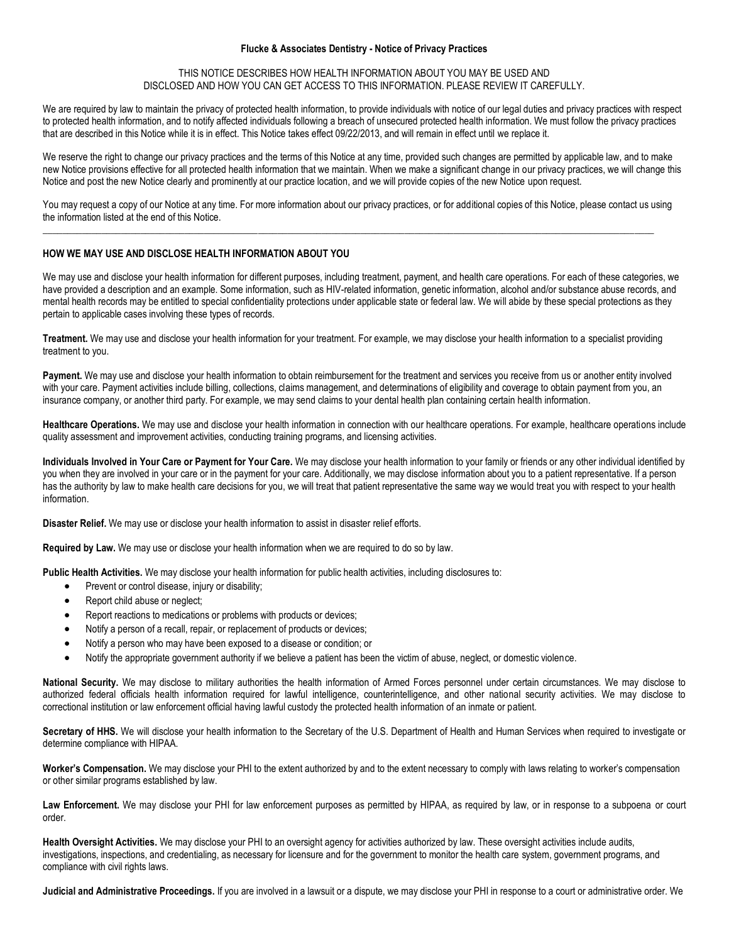### **Flucke & Associates Dentistry - Notice of Privacy Practices**

### THIS NOTICE DESCRIBES HOW HEALTH INFORMATION ABOUT YOU MAY BE USED AND DISCLOSED AND HOW YOU CAN GET ACCESS TO THIS INFORMATION. PLEASE REVIEW IT CAREFULLY.

We are required by law to maintain the privacy of protected health information, to provide individuals with notice of our legal duties and privacy practices with respect to protected health information, and to notify affected individuals following a breach of unsecured protected health information. We must follow the privacy practices that are described in this Notice while it is in effect. This Notice takes effect 09/22/2013, and will remain in effect until we replace it.

We reserve the right to change our privacy practices and the terms of this Notice at any time, provided such changes are permitted by applicable law, and to make new Notice provisions effective for all protected health information that we maintain. When we make a significant change in our privacy practices, we will change this Notice and post the new Notice clearly and prominently at our practice location, and we will provide copies of the new Notice upon request.

You may request a copy of our Notice at any time. For more information about our privacy practices, or for additional copies of this Notice, please contact us using the information listed at the end of this Notice.

**\_\_\_\_\_\_\_\_\_\_\_\_\_\_\_\_\_\_\_\_\_\_\_\_\_\_\_\_\_\_\_\_\_\_\_\_\_\_\_\_\_\_\_\_\_\_\_\_\_\_\_\_\_\_\_\_\_\_\_\_\_\_\_\_\_\_\_\_\_\_\_\_\_\_\_\_\_\_\_\_\_\_\_\_\_\_\_\_\_\_\_\_\_\_\_\_\_\_\_\_\_\_\_\_\_\_\_\_\_\_\_\_\_\_\_\_\_\_\_\_\_\_\_\_\_**

## **HOW WE MAY USE AND DISCLOSE HEALTH INFORMATION ABOUT YOU**

We may use and disclose your health information for different purposes, including treatment, payment, and health care operations. For each of these categories, we have provided a description and an example. Some information, such as HIV-related information, genetic information, alcohol and/or substance abuse records, and mental health records may be entitled to special confidentiality protections under applicable state or federal law. We will abide by these special protections as they pertain to applicable cases involving these types of records.

**Treatment.** We may use and disclose your health information for your treatment. For example, we may disclose your health information to a specialist providing treatment to you.

Payment. We may use and disclose your health information to obtain reimbursement for the treatment and services you receive from us or another entity involved with your care. Payment activities include billing, collections, claims management, and determinations of eligibility and coverage to obtain payment from you, an insurance company, or another third party. For example, we may send claims to your dental health plan containing certain health information.

Healthcare Operations. We may use and disclose your health information in connection with our healthcare operations. For example, healthcare operations include quality assessment and improvement activities, conducting training programs, and licensing activities.

**Individuals Involved in Your Care or Payment for Your Care.** We may disclose your health information to your family or friends or any other individual identified by you when they are involved in your care or in the payment for your care. Additionally, we may disclose information about you to a patient representative. If a person has the authority by law to make health care decisions for you, we will treat that patient representative the same way we would treat you with respect to your health information.

**Disaster Relief.** We may use or disclose your health information to assist in disaster relief efforts.

**Required by Law.** We may use or disclose your health information when we are required to do so by law.

**Public Health Activities.** We may disclose your health information for public health activities, including disclosures to:

- Prevent or control disease, injury or disability;
- Report child abuse or neglect;
- Report reactions to medications or problems with products or devices;
- Notify a person of a recall, repair, or replacement of products or devices;
- Notify a person who may have been exposed to a disease or condition; or
- Notify the appropriate government authority if we believe a patient has been the victim of abuse, neglect, or domestic violence.

**National Security.** We may disclose to military authorities the health information of Armed Forces personnel under certain circumstances. We may disclose to authorized federal officials health information required for lawful intelligence, counterintelligence, and other national security activities. We may disclose to correctional institution or law enforcement official having lawful custody the protected health information of an inmate or patient.

Secretary of HHS. We will disclose your health information to the Secretary of the U.S. Department of Health and Human Services when required to investigate or determine compliance with HIPAA.

**Worker's Compensation.** We may disclose your PHI to the extent authorized by and to the extent necessary to comply with laws relating to worker's compensation or other similar programs established by law.

Law Enforcement. We may disclose your PHI for law enforcement purposes as permitted by HIPAA, as required by law, or in response to a subpoena or court order.

**Health Oversight Activities.** We may disclose your PHI to an oversight agency for activities authorized by law. These oversight activities include audits, investigations, inspections, and credentialing, as necessary for licensure and for the government to monitor the health care system, government programs, and compliance with civil rights laws.

**Judicial and Administrative Proceedings.** If you are involved in a lawsuit or a dispute, we may disclose your PHI in response to a court or administrative order. We